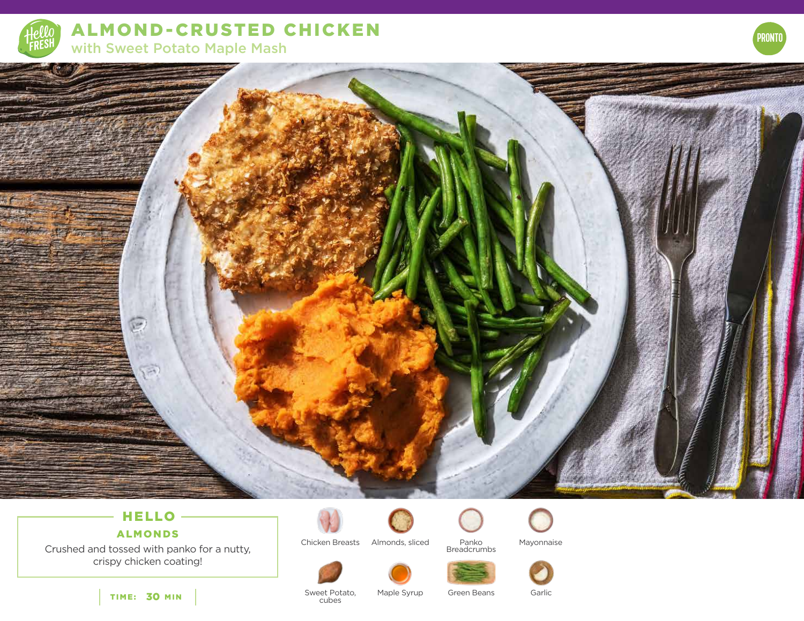

**ALMOND-CRUSTED CHICKEN** with Sweet Potato Maple Mash



# HELLO -

 $\mathbb{R}$ 

 $\overline{\phantom{a}}$ 

## ALMONDS

Crushed and tossed with panko for a nutty, crispy chicken coating!



Chicken Breasts Almonds, sliced Panko Mayonnaise









TIME: 30 MIN

Sweet Potato, cubes

Maple Syrup Green Beans Garlic

Panko Breadcrumbs